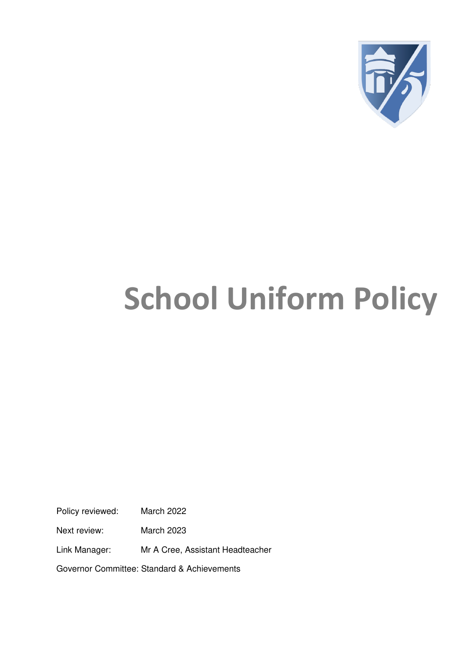

# **School Uniform Policy**

Policy reviewed: March 2022

Next review: March 2023

Link Manager: Mr A Cree, Assistant Headteacher

Governor Committee: Standard & Achievements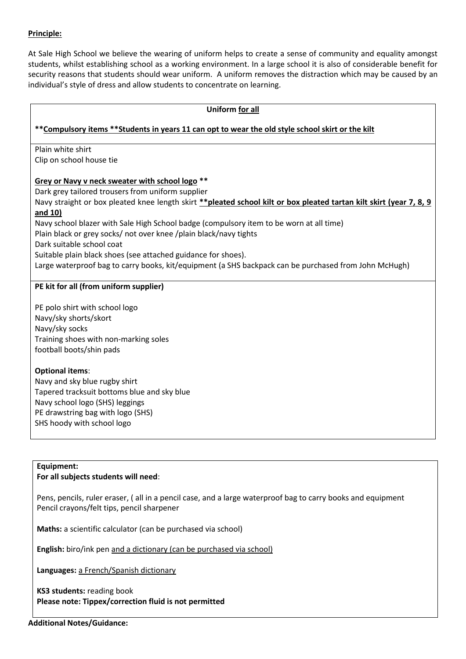#### **Principle:**

At Sale High School we believe the wearing of uniform helps to create a sense of community and equality amongst students, whilst establishing school as a working environment. In a large school it is also of considerable benefit for security reasons that students should wear uniform. A uniform removes the distraction which may be caused by an individual's style of dress and allow students to concentrate on learning.

| Uniform for all                                                                                                      |
|----------------------------------------------------------------------------------------------------------------------|
| ** Compulsory items ** Students in years 11 can opt to wear the old style school skirt or the kilt                   |
|                                                                                                                      |
| Plain white shirt                                                                                                    |
| Clip on school house tie                                                                                             |
| Grey or Navy v neck sweater with school logo **                                                                      |
| Dark grey tailored trousers from uniform supplier                                                                    |
| Navy straight or box pleated knee length skirt ** pleated school kilt or box pleated tartan kilt skirt (year 7, 8, 9 |
| and 10)                                                                                                              |
| Navy school blazer with Sale High School badge (compulsory item to be worn at all time)                              |
| Plain black or grey socks/ not over knee /plain black/navy tights                                                    |
| Dark suitable school coat                                                                                            |
| Suitable plain black shoes (see attached guidance for shoes).                                                        |
| Large waterproof bag to carry books, kit/equipment (a SHS backpack can be purchased from John McHugh)                |
| PE kit for all (from uniform supplier)                                                                               |
| PE polo shirt with school logo                                                                                       |
| Navy/sky shorts/skort                                                                                                |
| Navy/sky socks                                                                                                       |
| Training shoes with non-marking soles                                                                                |
| football boots/shin pads                                                                                             |
| <b>Optional items:</b>                                                                                               |
| Navy and sky blue rugby shirt                                                                                        |
| Tapered tracksuit bottoms blue and sky blue                                                                          |
| Navy school logo (SHS) leggings                                                                                      |
| PE drawstring bag with logo (SHS)                                                                                    |

#### **Equipment: For all subjects students will need**:

SHS hoody with school logo

Pens, pencils, ruler eraser, ( all in a pencil case, and a large waterproof bag to carry books and equipment Pencil crayons/felt tips, pencil sharpener

**Maths:** a scientific calculator (can be purchased via school)

**English:** biro/ink pen and a dictionary (can be purchased via school)

**Languages:** a French/Spanish dictionary

**KS3 students:** reading book **Please note: Tippex/correction fluid is not permitted**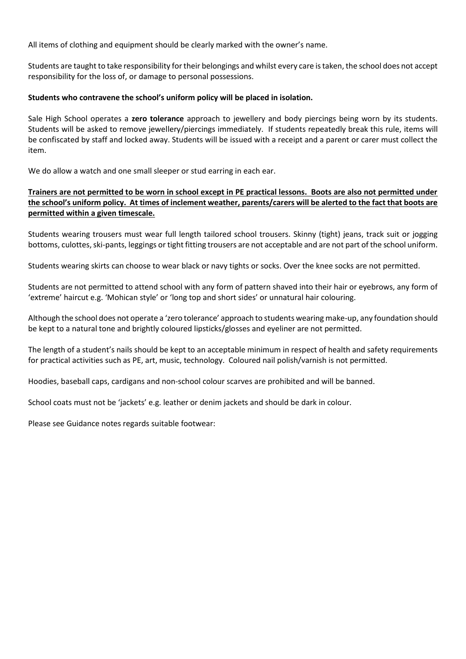All items of clothing and equipment should be clearly marked with the owner's name.

Students are taught to take responsibility for their belongings and whilst every care is taken, the school does not accept responsibility for the loss of, or damage to personal possessions.

#### **Students who contravene the school's uniform policy will be placed in isolation.**

Sale High School operates a **zero tolerance** approach to jewellery and body piercings being worn by its students. Students will be asked to remove jewellery/piercings immediately. If students repeatedly break this rule, items will be confiscated by staff and locked away. Students will be issued with a receipt and a parent or carer must collect the item.

We do allow a watch and one small sleeper or stud earring in each ear.

#### **Trainers are not permitted to be worn in school except in PE practical lessons. Boots are also not permitted under the school's uniform policy. At times of inclement weather, parents/carers will be alerted to the fact that boots are permitted within a given timescale.**

Students wearing trousers must wear full length tailored school trousers. Skinny (tight) jeans, track suit or jogging bottoms, culottes, ski-pants, leggings or tight fitting trousers are not acceptable and are not part of the school uniform.

Students wearing skirts can choose to wear black or navy tights or socks. Over the knee socks are not permitted.

Students are not permitted to attend school with any form of pattern shaved into their hair or eyebrows, any form of 'extreme' haircut e.g. 'Mohican style' or 'long top and short sides' or unnatural hair colouring.

Although the school does not operate a 'zero tolerance' approach to students wearing make-up, any foundation should be kept to a natural tone and brightly coloured lipsticks/glosses and eyeliner are not permitted.

The length of a student's nails should be kept to an acceptable minimum in respect of health and safety requirements for practical activities such as PE, art, music, technology. Coloured nail polish/varnish is not permitted.

Hoodies, baseball caps, cardigans and non-school colour scarves are prohibited and will be banned.

School coats must not be 'jackets' e.g. leather or denim jackets and should be dark in colour.

Please see Guidance notes regards suitable footwear: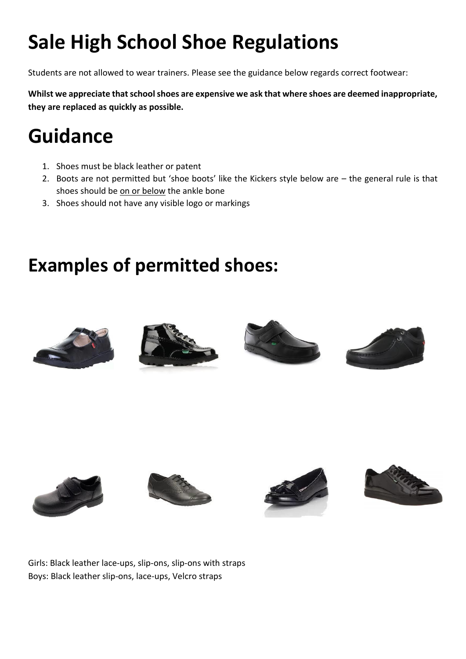# **Sale High School Shoe Regulations**

Students are not allowed to wear trainers. Please see the guidance below regards correct footwear:

**Whilst we appreciate that school shoes are expensive we ask that where shoes are deemed inappropriate, they are replaced as quickly as possible.** 

## **Guidance**

- 1. Shoes must be black leather or patent
- 2. Boots are not permitted but 'shoe boots' like the Kickers style below are the general rule is that shoes should be on or below the ankle bone
- 3. Shoes should not have any visible logo or markings

### **Examples of permitted shoes:**

















Girls: Black leather lace-ups, slip-ons, slip-ons with straps Boys: Black leather slip-ons, lace-ups, Velcro straps